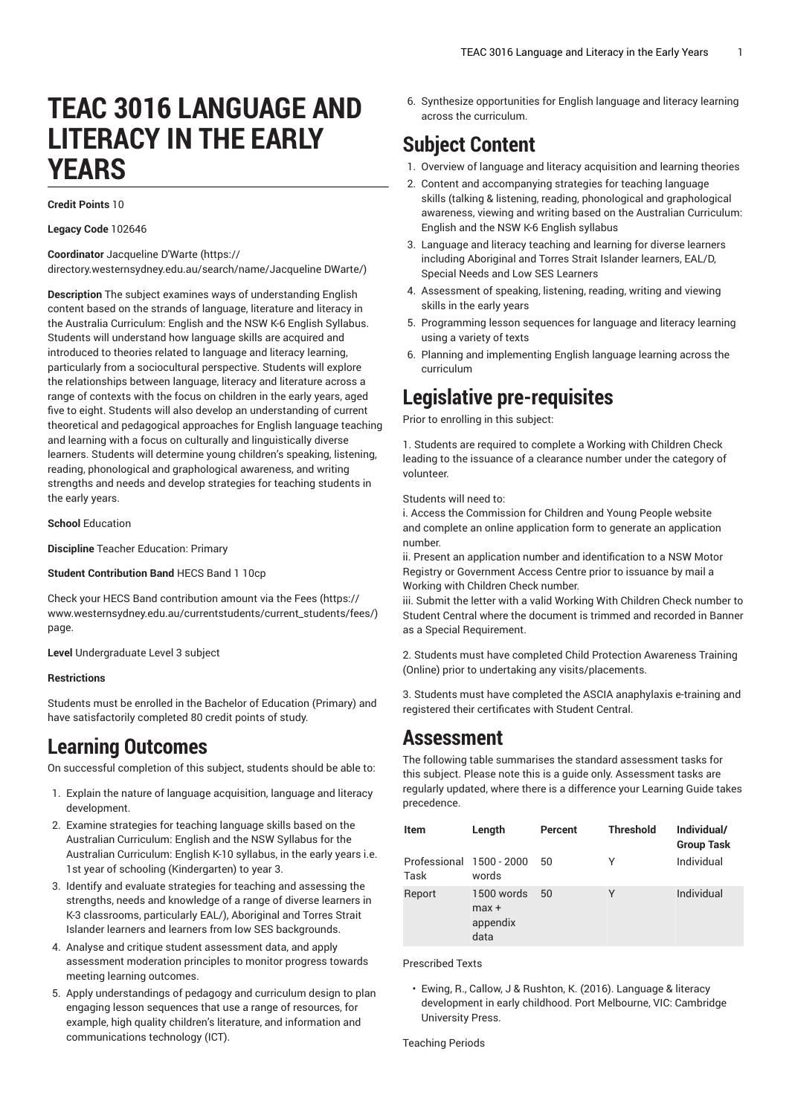# **TEAC 3016 LANGUAGE AND LITERACY IN THE EARLY YEARS**

**Credit Points** 10

#### **Legacy Code** 102646

**Coordinator** [Jacqueline](https://directory.westernsydney.edu.au/search/name/Jacqueline DWarte/) D'Warte [\(https://](https://directory.westernsydney.edu.au/search/name/Jacqueline DWarte/) [directory.westernsydney.edu.au/search/name/Jacqueline](https://directory.westernsydney.edu.au/search/name/Jacqueline DWarte/) DWarte/)

**Description** The subject examines ways of understanding English content based on the strands of language, literature and literacy in the Australia Curriculum: English and the NSW K-6 English Syllabus. Students will understand how language skills are acquired and introduced to theories related to language and literacy learning, particularly from a sociocultural perspective. Students will explore the relationships between language, literacy and literature across a range of contexts with the focus on children in the early years, aged five to eight. Students will also develop an understanding of current theoretical and pedagogical approaches for English language teaching and learning with a focus on culturally and linguistically diverse learners. Students will determine young children's speaking, listening, reading, phonological and graphological awareness, and writing strengths and needs and develop strategies for teaching students in the early years.

#### **School** Education

**Discipline** Teacher Education: Primary

**Student Contribution Band** HECS Band 1 10cp

Check your HECS Band contribution amount via the [Fees \(https://](https://www.westernsydney.edu.au/currentstudents/current_students/fees/) [www.westernsydney.edu.au/currentstudents/current\\_students/fees/\)](https://www.westernsydney.edu.au/currentstudents/current_students/fees/) page.

**Level** Undergraduate Level 3 subject

#### **Restrictions**

Students must be enrolled in the Bachelor of Education (Primary) and have satisfactorily completed 80 credit points of study.

### **Learning Outcomes**

On successful completion of this subject, students should be able to:

- 1. Explain the nature of language acquisition, language and literacy development.
- 2. Examine strategies for teaching language skills based on the Australian Curriculum: English and the NSW Syllabus for the Australian Curriculum: English K-10 syllabus, in the early years i.e. 1st year of schooling (Kindergarten) to year 3.
- 3. Identify and evaluate strategies for teaching and assessing the strengths, needs and knowledge of a range of diverse learners in K-3 classrooms, particularly EAL/), Aboriginal and Torres Strait Islander learners and learners from low SES backgrounds.
- 4. Analyse and critique student assessment data, and apply assessment moderation principles to monitor progress towards meeting learning outcomes.
- 5. Apply understandings of pedagogy and curriculum design to plan engaging lesson sequences that use a range of resources, for example, high quality children's literature, and information and communications technology (ICT).

6. Synthesize opportunities for English language and literacy learning across the curriculum.

## **Subject Content**

- 1. Overview of language and literacy acquisition and learning theories
- 2. Content and accompanying strategies for teaching language skills (talking & listening, reading, phonological and graphological awareness, viewing and writing based on the Australian Curriculum: English and the NSW K-6 English syllabus
- 3. Language and literacy teaching and learning for diverse learners including Aboriginal and Torres Strait Islander learners, EAL/D, Special Needs and Low SES Learners
- 4. Assessment of speaking, listening, reading, writing and viewing skills in the early years
- 5. Programming lesson sequences for language and literacy learning using a variety of texts
- 6. Planning and implementing English language learning across the curriculum

### **Legislative pre-requisites**

Prior to enrolling in this subject:

1. Students are required to complete a Working with Children Check leading to the issuance of a clearance number under the category of volunteer.

Students will need to:

i. Access the Commission for Children and Young People website and complete an online application form to generate an application number.

ii. Present an application number and identification to a NSW Motor Registry or Government Access Centre prior to issuance by mail a Working with Children Check number.

iii. Submit the letter with a valid Working With Children Check number to Student Central where the document is trimmed and recorded in Banner as a Special Requirement.

2. Students must have completed Child Protection Awareness Training (Online) prior to undertaking any visits/placements.

3. Students must have completed the ASCIA anaphylaxis e-training and registered their certificates with Student Central.

### **Assessment**

The following table summarises the standard assessment tasks for this subject. Please note this is a guide only. Assessment tasks are regularly updated, where there is a difference your Learning Guide takes precedence.

| Item                             | Length                                    | Percent      | <b>Threshold</b> | Individual/<br><b>Group Task</b> |
|----------------------------------|-------------------------------------------|--------------|------------------|----------------------------------|
| Professional 1500 - 2000<br>Task | words                                     | 50           | γ                | Individual                       |
| Report                           | 1500 words<br>$max +$<br>appendix<br>data | $50^{\circ}$ | γ                | Individual                       |

Prescribed Texts

• Ewing, R., Callow, J & Rushton, K. (2016). Language & literacy development in early childhood. Port Melbourne, VIC: Cambridge University Press.

Teaching Periods